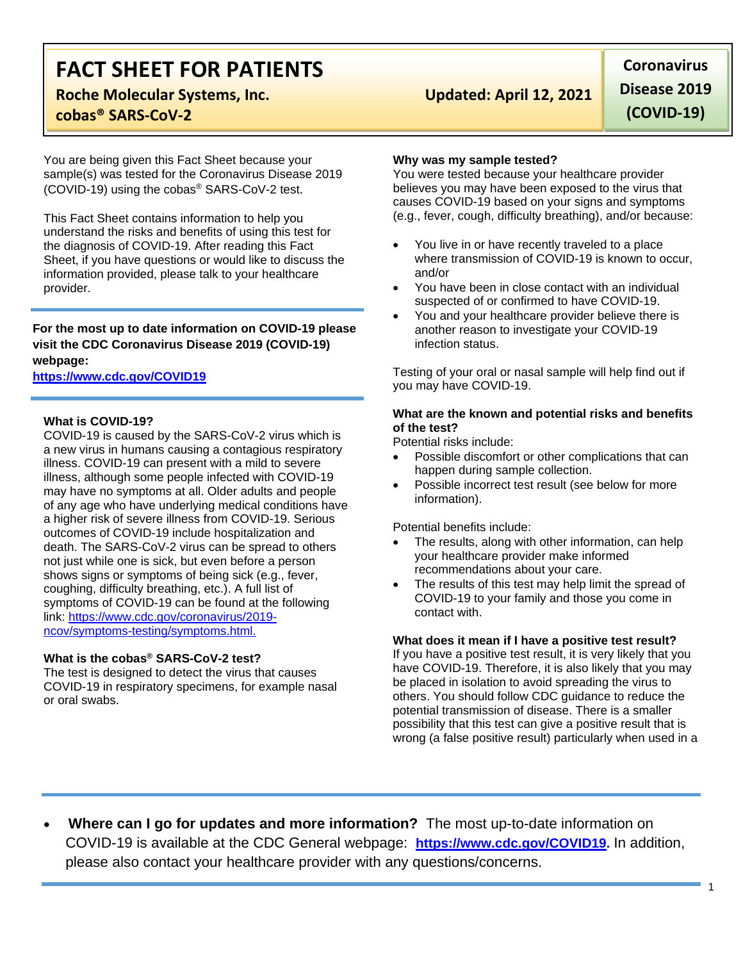# **FACT SHEET FOR PATIENTS**

## **Roche Molecular Systems, Inc. Updated: April 12, 2021 cobas® SARS-CoV-2**

You are being given this Fact Sheet because your sample(s) was tested for the Coronavirus Disease 2019 (COVID-19) using the cobas® SARS-CoV-2 test.

This Fact Sheet contains information to help you understand the risks and benefits of using this test for the diagnosis of COVID-19. After reading this Fact Sheet, if you have questions or would like to discuss the information provided, please talk to your healthcare provider.

**For the most up to date information on COVID-19 please visit the CDC Coronavirus Disease 2019 (COVID-19) webpage:**

### **[https://www.cdc.gov/COVID19](https://www.cdc.gov/nCoV)**

#### **What is COVID-19?**

COVID-19 is caused by the SARS-CoV-2 virus which is a new virus in humans causing a contagious respiratory illness. COVID-19 can present with a mild to severe illness, although some people infected with COVID-19 may have no symptoms at all. Older adults and people of any age who have underlying medical conditions have a higher risk of severe illness from COVID-19. Serious outcomes of COVID-19 include hospitalization and death. The SARS-CoV-2 virus can be spread to others not just while one is sick, but even before a person shows signs or symptoms of being sick (e.g., fever, coughing, difficulty breathing, etc.). A full list of symptoms of COVID-19 can be found at the following link: [https://www.cdc.gov/coronavirus/2019](https://www.cdc.gov/coronavirus/2019-ncov/symptoms-testing/symptoms.html) [ncov/symptoms-testing/symptoms.html.](https://www.cdc.gov/coronavirus/2019-ncov/symptoms-testing/symptoms.html)

#### **What is the cobas® SARS-CoV-2 test?**

The test is designed to detect the virus that causes COVID-19 in respiratory specimens, for example nasal or oral swabs.

**Coronavirus Disease 2019 (COVID-19)**

#### **Why was my sample tested?**

You were tested because your healthcare provider believes you may have been exposed to the virus that causes COVID-19 based on your signs and symptoms (e.g., fever, cough, difficulty breathing), and/or because:

- You live in or have recently traveled to a place where transmission of COVID-19 is known to occur, and/or
- You have been in close contact with an individual suspected of or confirmed to have COVID-19.
- You and your healthcare provider believe there is another reason to investigate your COVID-19 infection status.

Testing of your oral or nasal sample will help find out if you may have COVID-19.

### **What are the known and potential risks and benefits of the test?**

Potential risks include:

- Possible discomfort or other complications that can happen during sample collection.
- Possible incorrect test result (see below for more information).

Potential benefits include:

- The results, along with other information, can help your healthcare provider make informed recommendations about your care.
- The results of this test may help limit the spread of COVID-19 to your family and those you come in contact with.

#### **What does it mean if I have a positive test result?**

If you have a positive test result, it is very likely that you have COVID-19. Therefore, it is also likely that you may be placed in isolation to avoid spreading the virus to others. You should follow CDC guidance to reduce the potential transmission of disease. There is a smaller possibility that this test can give a positive result that is wrong (a false positive result) particularly when used in a

• **Where can I go for updates and more information?** The most up-to-date information on COVID-19 is available at the CDC General webpage: **[https://www.cdc.gov/COVID19.](https://www.cdc.gov/nCoV)** In addition, please also contact your healthcare provider with any questions/concerns.